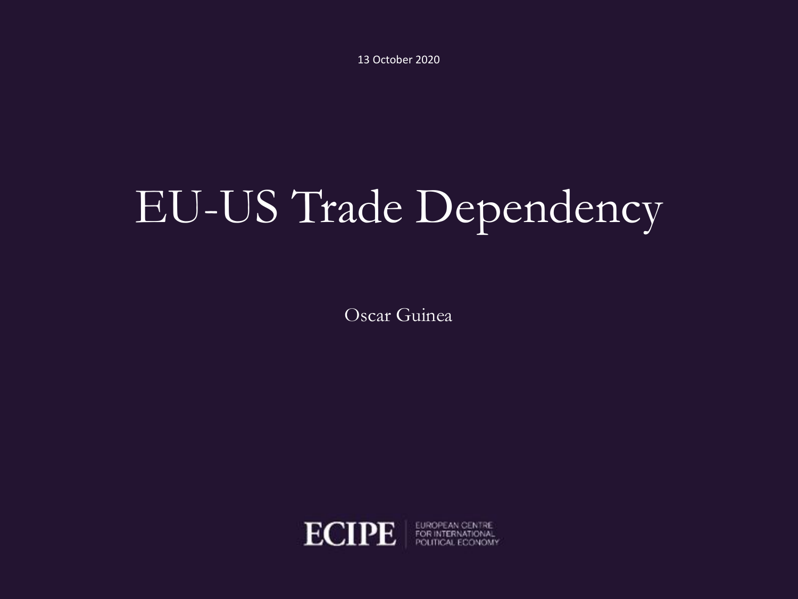13 October 2020

# EU-US Trade Dependency

Oscar Guinea



EUROPEAN CENTRE POLITICAL ECONOMY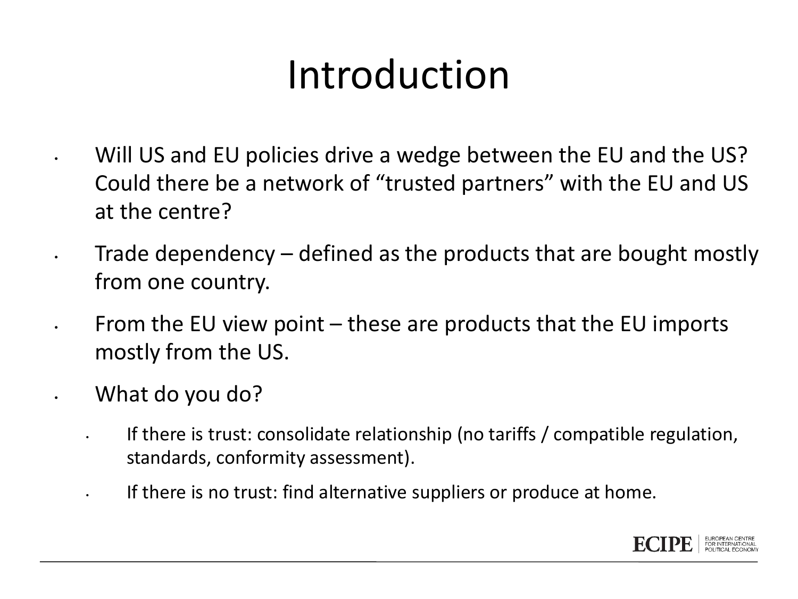#### Introduction

- Will US and EU policies drive a wedge between the EU and the US? Could there be a network of "trusted partners" with the EU and US at the centre?
- Trade dependency defined as the products that are bought mostly from one country.
- From the EU view point these are products that the EU imports mostly from the US.
- What do you do?
	- If there is trust: consolidate relationship (no tariffs / compatible regulation, standards, conformity assessment).
	- If there is no trust: find alternative suppliers or produce at home.

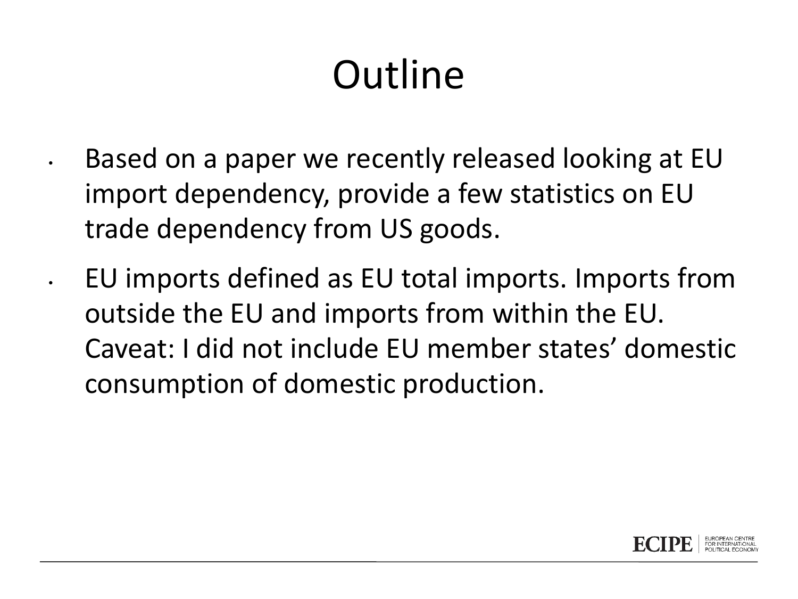## **Outline**

• Based on a paper we recently released looking at EU import dependency, provide a few statistics on EU trade dependency from US goods.

• EU imports defined as EU total imports. Imports from outside the EU and imports from within the EU. Caveat: I did not include EU member states' domestic consumption of domestic production.

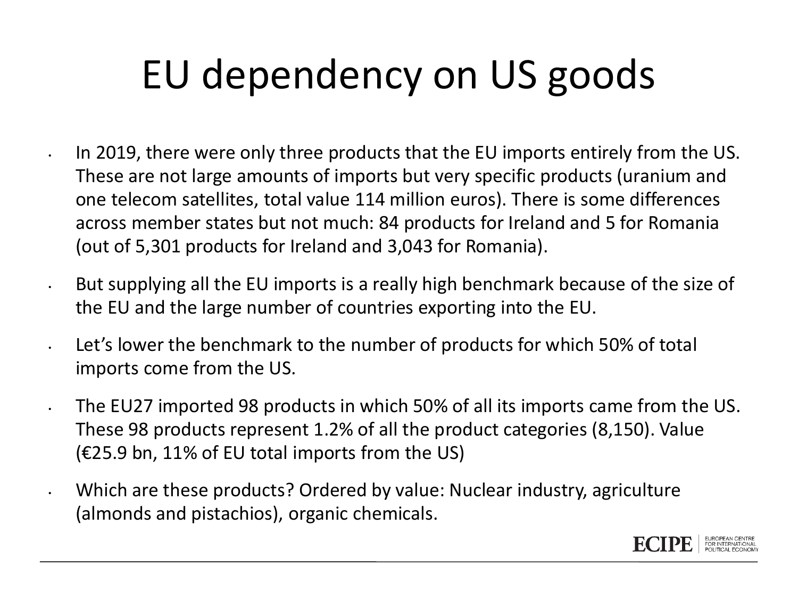## EU dependency on US goods

- In 2019, there were only three products that the EU imports entirely from the US. These are not large amounts of imports but very specific products (uranium and one telecom satellites, total value 114 million euros). There is some differences across member states but not much: 84 products for Ireland and 5 for Romania (out of 5,301 products for Ireland and 3,043 for Romania).
- But supplying all the EU imports is a really high benchmark because of the size of the EU and the large number of countries exporting into the EU.
- Let's lower the benchmark to the number of products for which 50% of total imports come from the US.
- The EU27 imported 98 products in which 50% of all its imports came from the US. These 98 products represent 1.2% of all the product categories (8,150). Value (€25.9 bn, 11% of EU total imports from the US)
- Which are these products? Ordered by value: Nuclear industry, agriculture (almonds and pistachios), organic chemicals.

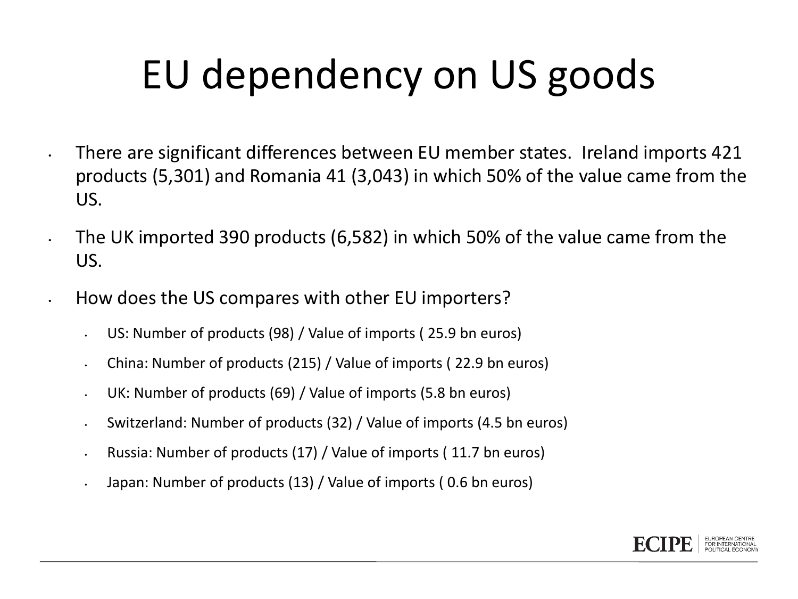## EU dependency on US goods

- There are significant differences between EU member states. Ireland imports 421 products (5,301) and Romania 41 (3,043) in which 50% of the value came from the US.
	- The UK imported 390 products (6,582) in which 50% of the value came from the US.
- How does the US compares with other EU importers?
	- US: Number of products (98) / Value of imports ( 25.9 bn euros)
	- China: Number of products (215) / Value of imports ( 22.9 bn euros)
	- UK: Number of products (69) / Value of imports (5.8 bn euros)
	- Switzerland: Number of products (32) / Value of imports (4.5 bn euros)
	- Russia: Number of products (17) / Value of imports ( 11.7 bn euros)
	- Japan: Number of products (13) / Value of imports ( 0.6 bn euros)

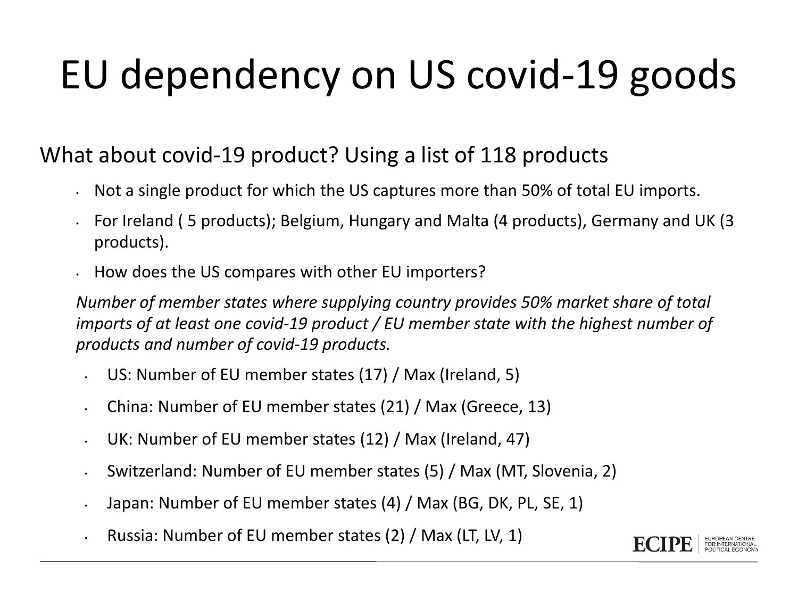## EU dependency on US covid-19 goods

#### What about covid-19 product? Using a list of 118 products

- Not a single product for which the US captures more than 50% of total EU imports.
- For Ireland ( 5 products); Belgium, Hungary and Malta (4 products), Germany and UK (3 products).
- How does the US compares with other EU importers?

*Number of member states where supplying country provides 50% market share of total imports of at least one covid-19 product / EU member state with the highest number of products and number of covid-19 products.*

- US: Number of EU member states (17) / Max (Ireland, 5)
- China: Number of EU member states (21) / Max (Greece, 13)
- UK: Number of EU member states (12) / Max (Ireland, 47)
- Switzerland: Number of EU member states (5) / Max (MT, Slovenia, 2)
- Japan: Number of EU member states (4) / Max (BG, DK, PL, SE, 1)
- Russia: Number of EU member states (2) / Max (LT, LV, 1)